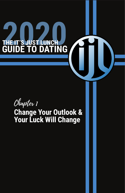# **2020 CHE IT'S JUST LUNCH CHEATER GUIDE TO DATING**

Chapter 1

# **Change Your Outlook & Your Luck Will Change**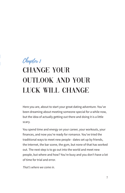# Chapter 1 **CHANGE YOUR** Outlook and Your Luck Will Change

Here you are, about to start your great dating adventure. You've been dreaming about meeting someone special for a while now, but the idea of actually getting out there and doing it is a little scary.

You spend time and energy on your career, your workouts, your finances, and now you're ready for romance. You've tried the traditional ways to meet new people - dates set up by friends, the Internet, the bar scene, the gym, but none of that has worked out. The next step is to go out into the world and meet new people, but where and how? You're busy and you don't have a lot of time for trial and error.

*That's where we come in.*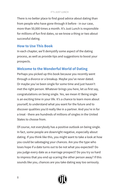There is no better place to find good advice about dating than from people who have gone through it before - in our case, more than 50,000 times a month. It's Just Lunch is responsible for millions of fun first dates, so we know a thing or two about successful dating.

#### **How to Use This Book**

In each chapter, we'll demystify some aspect of the dating process, as well as provide tips and suggestions to boost your prospects.

#### **Welcome to the Wonderful World of Dating**

Perhaps you picked up this book because you recently went through a divorce or a breakup. Maybe you've never dated. Or maybe you've been single for some time and just haven't met the right person. Whatever brings you here, let us first say, congratulations on being single. Yes, we mean it! Being single is an exciting time in your life. It's a chance to learn more about yourself, to understand what you want for the future and to discover qualities you'd really like in a partner. And you're in for a treat - there are hundreds of millions of singles in the United States to choose from.

Of course, not everybody has a positive outlook on being single. In fact, some people are downright negative, especially about dating. If you think like this, you might want to take a look at how you could be sabotaging your chances. Are you the type who loses hope if a date turns out to be not what you expected? Do you judge every date as a marriage prospect? Do you try so hard to impress that you end up scaring the other person away? If this sounds like you, chances are you take dating way too seriously.

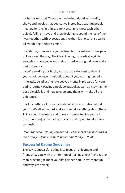#### THE GUIDE TO DATING

It's hardly unusual. These days we're inundated with reality shows and movies that depict two incredibly beautiful people meeting for the first time, barely getting to know each other, quickly falling in love and then deciding to spend the rest of their lives together. With expectations like that, it's no surprise we're all wondering, "Where's mine?"

In addition, chances are you've been hurt or suffered some pain or loss along the way. The idea of facing that ordeal again is enough to make you want to stay in bed with a good book and a pint of ice cream.

If you're reading this book, you probably do want to date. If you're not feeling enthusiastic about it yet, you might need a little attitude adjustment to get you mentally prepared for your dating journey. Having a positive outlook as well as knowing the possible pitfalls and how to overcome them will make all the difference.

Start by putting all those bad relationships and dates behind you. That's all in the past and you can't do anything about them. Think about the future and make a promise to give yourself the time to enjoy the dating process - and try not to take it too seriously.

*Here's the scoop: Dating can and should be lots of fun. Keep this in mind and you'll have a much better time than you think.* 

## **Successful Dating Guidelines**

The key to successful dating is to focus on enjoyment and friendship. Date with the intention of making a new friend rather than expecting to meet your life partner. You'll have more fun and way less anxiety.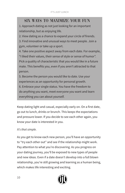# Six Ways to Maximize Your Fun

1. Approach dating as not just looking for an important relationship, but as enjoying life.

2. View dating as a chance to expand your circle of firends.

3. Find innovative and unusual ways to meet people. Join a gym, volunteer or take up a sport.

4. Take one positive aspect away from each date. For example, "I liked their values, their sense of style or sense of humor". Pick a quality of characteristic that you would like in a future mate. This benefits you, even if you aren't attracted to that person.

5. Become the person you would like to date. Use your experiences as an opportunity for personal growth.

6. Embrace your single status. You have the freedom to do anything you want, meet everyone you want and learn everything you can about yourself.

Keep dating light and casual, especially early on. On a first date, go out to lunch, drinks or brunch. This keeps the expectations and pressure lower. If you decide to see each other again, you know your date is interested in you.

#### *It's that simple.*

As you get to know each new person, you'll have an opportunity to "try each other out" and see if the relationship might work. Pay attention to what you're discovering. As you progress on your dating journey, you'll be exposed to new types of people and new ideas. Even if a date doesn't develop into a full blown relationship, you're still growing and learning as a human being, which makes life interesting and exciting.

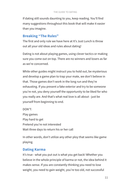If dating still sounds daunting to you, keep reading. You'll find many suggestions throughout this book that will make it easier than you imagine.

#### **Breaking "The Rules"**

The first and only rule we have here at It's Just Lunch is throw out all your old ideas and rules about dating!

Dating is not about playing games, using clever tactics or making sure you come out on top. There are no winners and losers as far as we're concerned.

While other guides might instruct you to hold out, be mysterious and develop a game plan to trap your mate, we don't believe in that. Those games don't work in the long run and they're exhausting. If you present a fake exterior and try to be someone you're not, you deny yourself the opportunity to be liked for who you really are. And that's what real love is all about - just be yourself from beginning to end.

DON'T: Play games Play hard to get Pretend you're not interested Wait three days to return his or her call

In other words, don't utilize any other ploy that seems like game playing.

#### **Dating Karma**

It's true - what you put out is what you get back! Whether you believe in the whole principle of karma or not, the idea behind it makes sense. If you are constantly thinking you need to lose weight, you need to gain weight, you're too old, not successful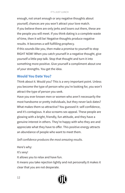enough, not smart enough or any negative thoughts about yourself, chances are you won't attract your love match. If you believe there are only jerks and losers out there, these are the people you will meet. If you think dating is a complete waste of time, then it will be! Negative thoughts produce negative results. It becomes a self-fulfilling prophecy.

If this sounds like you, then make a promise to yourself to stop RIGHT NOW! When you catch yourself in a negative thought, give yourself a little pep talk. Stop that thought and turn it into something more positive. Give yourself a compliment about one of your strengths. You get the idea.

#### **Would You Date You?**

Think about it. Would you? This is a very important point. Unless you become the type of person who you're looking for, you won't attract the type of person you seek.

Have you ever known men or women who aren't necessarily the most handsome or pretty individuals, but they never lack dates? What makes them so attractive? You guessed it: self-confidence, and it's contagious. It also screams sex appeal. These people are glowing with a bright, friendly, fun attitude, and they have a genuine interest in others. They're happy with who they are and appreciate what they have to offer. This positive energy attracts an abundance of people who want to meet them.

*Self-confidence produces the most amazing results.* 

Here's why: It's sexy! It allows you to relax and have fun. It means you take rejection lightly and not personally.It makes it clear that you are not desperate.

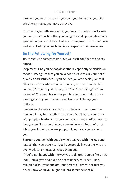It means you're content with yourself, your looks and your life which only makes you more attractive.

In order to gain self-confidence, you must first learn how to love yourself. It's important that you recognize and appreciate what's great about you - and accept what's not so great. If you don't love and accept who you are, how do you expect someone else to?

#### **Do the Following for Yourself**

Try these five boosters to improve your self-confidence and sex appeal:

Stop measuring yourself against others, especially celebrities or models. Recognize that you are a hot ticket with a unique set of qualities and attributes. If you believe you are special, you will attract a partner who appreciates what you have to offer. Tell yourself, "I'm great just the way I am" or "I'm exciting" or "I'm loveable". You are! This kind of pep talk helps imprint positive messages into your brain and eventually will change your outlook.

Remember the very characteristic or behavior that turns one person off may turn another person on. Don't waste your time with people who don't recognize what you have to offer. Learn to love yourself for everything you are and everything you're not. When you like who you are, people will naturally be drawn to you.

Surround yourself with people who treat you with the love and respect that you deserve. If you have people in your life who are overly critical or negative, weed them out.

If you're not happy with the way you look, treat yourself to a new look. Join a gym and build self-confidence. You'll feel like a million bucks. Dress and act your best at all times, because you never know when you might run into someone special.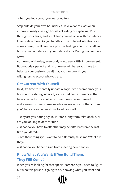When you look good, you feel good too.

Step outside your own boundaries. Take a dance class or an improv comedy class, go horseback riding or skydiving. Push through your fears, and you'll find yourself alive with confidence. Finally, date more. As you handle all the different situations you come across, it will reinforce positive feelings about yourself and boost your confidence in your dating ability. Dating is a numbers game.

At the end of the day, everybody could use a little improvement. But nobody's perfect and no one ever will be, so you have to balance your desire to be all that you can be with your willingness to accept who you are.

## **Get Current With Yourself**

Next, it's time to mentally update who you've become since your last round of dating. After all, you've had new experiences that have affected you - so what you want may have changed. To make sure you meet someone who makes sense for the "current you", here are some questions to ask yourself:

1. Why are you dating again? Is it for a long-term relationship, or are you looking to date for fun?

2. What do you have to offer that may be different from the last time you dated?

3. Are there things you want to do differently this time? What are they?

4. What do you hope to gain from meeting new people?

# **Know What You Want: If You Build Them, They Will Come!**

When you're looking for that special someone, you need to figure out who this person is going to be. Knowing what you want and

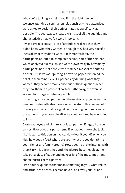#### THE GUIDE TO DATING

who you're looking for helps you find the right person. We once attended a seminar on relationships where attendees were asked to design their perfect mates as specifically as possible. The goal was to create a wish list of all the qualities and characteristics that we felt were important.

It was a great exercise - a lot of attendees realized that they didn't know what they wanted, although they had very specific ideas of what they didn't want. A few months later, the participants reunited to complete the final part of the seminar, which analyzed our results. We were blown away by how many participants had met people who matched most of the criteria on their list. It was as if putting it down on paper reinforced the belief in their mind's eye. Or perhaps by defining what they wanted, they became more conscious of those qualities when they saw them in a potential partner. Either way, the exercise worked for a large number of people.

Visualizing your ideal partner and the relationship you want is a great motivator. Athletes have long understood this process of imagery and will visualize a goal before acting on it. You can do the same with your love life. Give it a shot now! You have nothing to lose.

Close your eyes and picture your ideal partner. Enage all of your senses. How does this person smell? What does he or she look like? Listen to this person's voice. How does it sound? When you kiss, how does it feel? Where are you? What are you doing? Are your friends and family around? How does he or she interact with them? Try this a few times until the picture becomes clear, then take out a piece of paper and make a list of the most important characteristics of this partner.

List about 20 qualities that mean something to you. What values and attributes does this person have? Look over your list and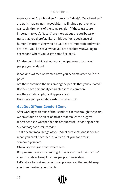separate your "deal breakers" from your "ideals". "Deal breakers" are traits that are non-negotiable, like finding a partner who wants children or is of the same religion (if those traits are important to you). "Ideals" are more about the attributes or traits that you'd prefer, like "ambitious" or "good sense of humor". By prioritizing which qualities are important and which are ideal, you'll discover what you are absolutely unwilling to accept and where you've got some flexibility.

It's also good to think about your past patterns in terms of people you've dated:

What kinds of men or women have you been attracted to in the past? Are there common themes among the people that you've dated? Do they have personality characteristics in common? Are they similar in physical appearance? How have your past relationships worked out?

# **Get Out Of Your Comfort Zone**

After working with tens of thousands of clients through the years, we have found one piece of advice that makes the biggest difference as to whether people are successful at dating or not: *"Get out of your comfort zone!"*

That doesn't mean let go of your "deal breakers". And it doesn't mean you can't have ideal qualities that you hope for in someone you date.

Obviously everyone has preferences.

But preferences can be limiting if they are so rigid that we don't allow ourselves to explore new people or new ideas.

Let's take a look at some common preferences that might keep you from meeting your match.

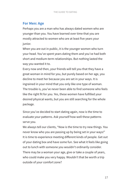#### **For Men: Age**

Perhaps you are a man who has always dated women who are younger than you. You have learned over time that you are mostly attracted to women who are at least five years your junior.

When you are out in public, it is the younger women who turn your head. You've spent years dating them and you've had both short and medium-term relationships. But nothing lasted the way you wanted it to.

Every now and then, your friends will tell you that they have a great woman in mind for you, but purely based on her age, you decline to meet her because you are set in your ways. It is ingrained in your mind that you only like one type of woman. The trouble is, you've never been able to find someone who feels like the right fit for you. Yes, these women have fulfilled your desired physical wants, but you are still searching for the whole package.

Since you've decided to start dating again, now is the time to evaluate your patterns. Ask yourself how well these patterns serve you.

We always tell our clients, "Now is the time to try new things. You never know who you are passing up by being set in your ways!" It is time to experience meeting different kinds of people. Get out of your dating box and have some fun. See what it feels like going out to lunch with someone you wouldn't ordinarily consider. There may be a woman your age, give or take a couple of years, who could make you very happy. Wouldn't that be worth a trip outside of your comfort zone?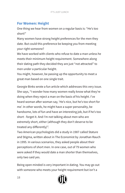# **For Women: Height**

One thing we hear from women on a regular basis is: "He's too short!"

Many women have strong height preferences for the men they date. But could this preference be keeping you from meeting your right someone?

We have worked with clients who refuse to date a man unless he meets their minimum height requirement. Somewhere along their dating path they decided they are just "not attracted" to men under a particular height.

You might, however, be passing up the opportunity to meet a great man based on one single trait.

Georgie Binks wrote a fun article which addresses this very issue. She says, "I wonder how many women really know what they're doing when they reject a man on the basis of his height. I've heard woman after woman say, 'He's nice, but he's too short for me'. In other words, he might have a super personality, be handsome, lots of fun and have an interesting job, but if he's too short - forget it. And I'm not talking about men who are extremely short, either (although they don't deserve to be treated any differently)".

Two American psychologists did a study in 1987 called Stature and Stigma, written about in The Economist by Jonathan Rauch in 1995. In various scenarios, they asked people about their perceptions of short men. In one case, out of 79 women who were asked if they would date a man shorter than themselves, only two said yes.

Being open minded is very important in dating. You may go out with someone who meets your height requirement but isn't a

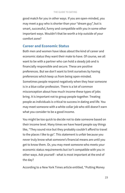good match for you in other ways. If you are open-minded, you may meet a guy who is shorter than your "dream guy", but is smart, successful, funny and compatible with you in some other important ways. Wouldn't that be worth a trip outside of your comfort zone?

#### **Career and Economic Status**

Both men and women have ideas about the kind of career and economic status they want their mate to have. Of course, we all want to be with a partner who can hold a steady job and is financially responsible and secure. These are positive preferences. But we don't want to limit ourselves by having preferences which keep us from being open-minded. Sometimes people respond negatively when they hear someone is in a blue collar profession. There is a lot of common misconception about how much income these types of jobs bring. It is important not to group people together. Treating people as individuals is critical to success in dating and life. You may meet someone with a white collar job who still doesn't earn what you consider to be a good income.

You might be too quick to decide not to date someone based on their income level. Many times we have heard people say things like, "They sound nice but they probably couldn't afford to travel to the places I like to go". This statement is unfair because you never truly know what someone's financial means are until you get to know them. Or, you may meet someone who meets your economic status requirements but isn't compatible with you in other ways. Ask yourself - what is most important at the end of the day?

According to a New York Times article entitled, "Putting Money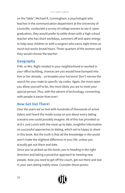on the Table", Michael R. Cunningham, a psychologist who teaches in the communication department at the University of Louisville, conducted a survey of college women to see if, upon graduation, they would prefer to settle down with a high school teacher who has short workdays, summers off and spare energy to help raise children or with a surgeon who earns eight times as much but works brutal hours. Three-quarters of the women said they would choose the teacher.

### **Geography**

If Mr. or Mrs. Right resided in your neighborhood or worked in your office building, chances are you would have bumped into him or her already... so broaden your horizons! Don't narrow the search for your mate to specific zip codes. Again, the more open you allow yourself to be, the more likely you are to meet your special person. Plus, with the advent of technology, connecting with people is easier than ever!

#### **Now Get Out There!**

Over the years we've met with hundreds of thousands of active daters and heard the inside scoop on just about every dating scenario one could possibly imagine. All of this has provided us at It's Just Lunch with the most up to date, insightful information on successful approaches to dating, which we're happy to share in this book. But the truth is that all the knowledge in the world won't make the slightest difference in your life, unless you actually get out there and date.

Since you've picked up this book, you're heading in the right direction and taking a proactive approach to meeting new people. Now you need to get off the couch, get out there and star in your own dating reality show. Consider these points: